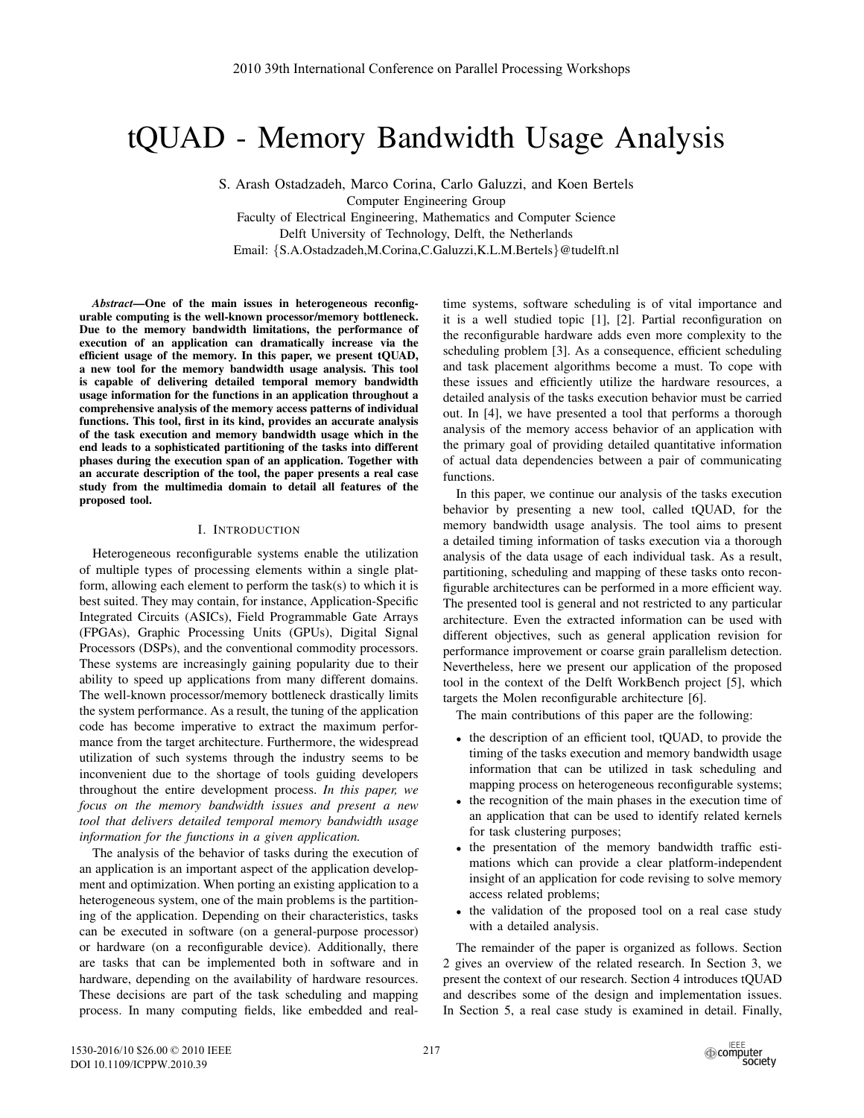# tQUAD - Memory Bandwidth Usage Analysis

S. Arash Ostadzadeh, Marco Corina, Carlo Galuzzi, and Koen Bertels Computer Engineering Group Faculty of Electrical Engineering, Mathematics and Computer Science Delft University of Technology, Delft, the Netherlands Email: {S.A.Ostadzadeh,M.Corina,C.Galuzzi,K.L.M.Bertels}@tudelft.nl

*Abstract*—One of the main issues in heterogeneous reconfigurable computing is the well-known processor/memory bottleneck. Due to the memory bandwidth limitations, the performance of execution of an application can dramatically increase via the efficient usage of the memory. In this paper, we present tQUAD, a new tool for the memory bandwidth usage analysis. This tool is capable of delivering detailed temporal memory bandwidth usage information for the functions in an application throughout a comprehensive analysis of the memory access patterns of individual functions. This tool, first in its kind, provides an accurate analysis of the task execution and memory bandwidth usage which in the end leads to a sophisticated partitioning of the tasks into different phases during the execution span of an application. Together with an accurate description of the tool, the paper presents a real case study from the multimedia domain to detail all features of the proposed tool.

# I. INTRODUCTION

Heterogeneous reconfigurable systems enable the utilization of multiple types of processing elements within a single platform, allowing each element to perform the task(s) to which it is best suited. They may contain, for instance, Application-Specific Integrated Circuits (ASICs), Field Programmable Gate Arrays (FPGAs), Graphic Processing Units (GPUs), Digital Signal Processors (DSPs), and the conventional commodity processors. These systems are increasingly gaining popularity due to their ability to speed up applications from many different domains. The well-known processor/memory bottleneck drastically limits the system performance. As a result, the tuning of the application code has become imperative to extract the maximum performance from the target architecture. Furthermore, the widespread utilization of such systems through the industry seems to be inconvenient due to the shortage of tools guiding developers throughout the entire development process. *In this paper, we focus on the memory bandwidth issues and present a new tool that delivers detailed temporal memory bandwidth usage information for the functions in a given application.*

The analysis of the behavior of tasks during the execution of an application is an important aspect of the application development and optimization. When porting an existing application to a heterogeneous system, one of the main problems is the partitioning of the application. Depending on their characteristics, tasks can be executed in software (on a general-purpose processor) or hardware (on a reconfigurable device). Additionally, there are tasks that can be implemented both in software and in hardware, depending on the availability of hardware resources. These decisions are part of the task scheduling and mapping process. In many computing fields, like embedded and realtime systems, software scheduling is of vital importance and it is a well studied topic [1], [2]. Partial reconfiguration on the reconfigurable hardware adds even more complexity to the scheduling problem [3]. As a consequence, efficient scheduling and task placement algorithms become a must. To cope with these issues and efficiently utilize the hardware resources, a detailed analysis of the tasks execution behavior must be carried out. In [4], we have presented a tool that performs a thorough analysis of the memory access behavior of an application with the primary goal of providing detailed quantitative information of actual data dependencies between a pair of communicating functions.

In this paper, we continue our analysis of the tasks execution behavior by presenting a new tool, called tQUAD, for the memory bandwidth usage analysis. The tool aims to present a detailed timing information of tasks execution via a thorough analysis of the data usage of each individual task. As a result, partitioning, scheduling and mapping of these tasks onto reconfigurable architectures can be performed in a more efficient way. The presented tool is general and not restricted to any particular architecture. Even the extracted information can be used with different objectives, such as general application revision for performance improvement or coarse grain parallelism detection. Nevertheless, here we present our application of the proposed tool in the context of the Delft WorkBench project [5], which targets the Molen reconfigurable architecture [6].

The main contributions of this paper are the following:

- the description of an efficient tool, tQUAD, to provide the timing of the tasks execution and memory bandwidth usage information that can be utilized in task scheduling and mapping process on heterogeneous reconfigurable systems;
- the recognition of the main phases in the execution time of an application that can be used to identify related kernels for task clustering purposes;
- the presentation of the memory bandwidth traffic estimations which can provide a clear platform-independent insight of an application for code revising to solve memory access related problems;
- the validation of the proposed tool on a real case study with a detailed analysis.

The remainder of the paper is organized as follows. Section 2 gives an overview of the related research. In Section 3, we present the context of our research. Section 4 introduces tQUAD and describes some of the design and implementation issues. In Section 5, a real case study is examined in detail. Finally,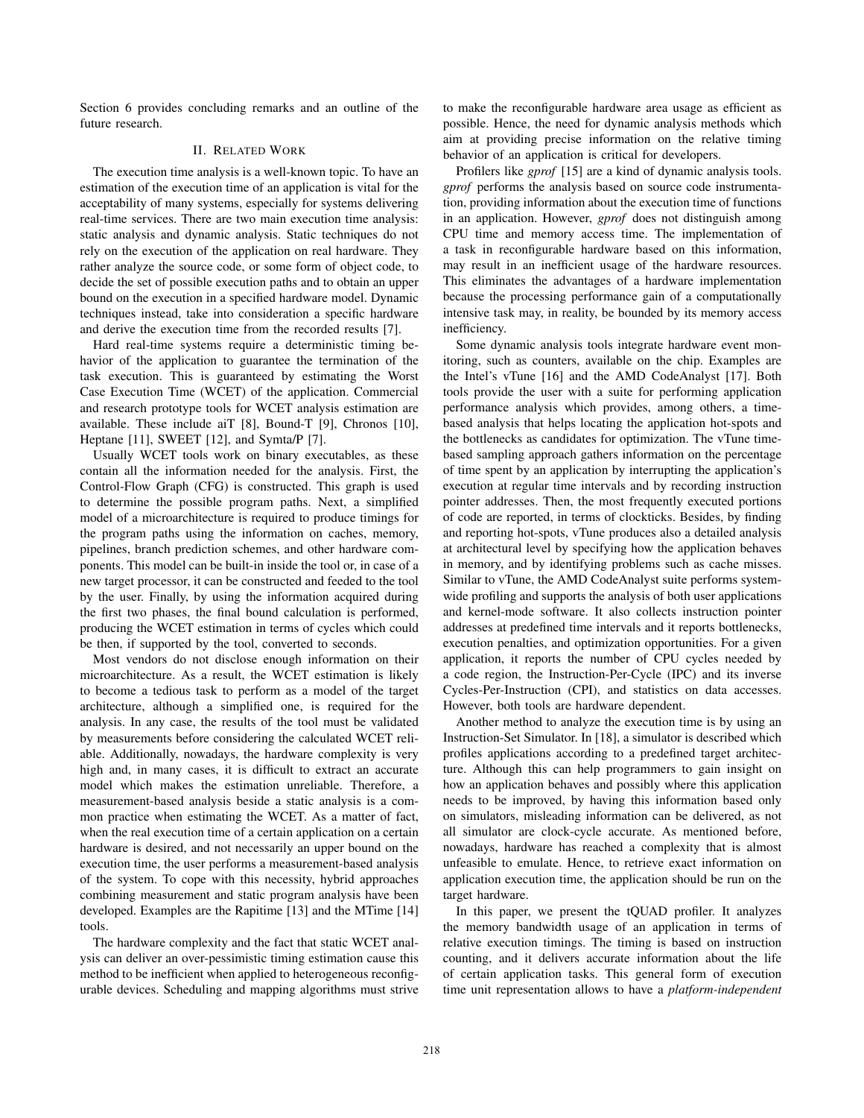Section 6 provides concluding remarks and an outline of the future research.

# II. RELATED WORK

The execution time analysis is a well-known topic. To have an estimation of the execution time of an application is vital for the acceptability of many systems, especially for systems delivering real-time services. There are two main execution time analysis: static analysis and dynamic analysis. Static techniques do not rely on the execution of the application on real hardware. They rather analyze the source code, or some form of object code, to decide the set of possible execution paths and to obtain an upper bound on the execution in a specified hardware model. Dynamic techniques instead, take into consideration a specific hardware and derive the execution time from the recorded results [7].

Hard real-time systems require a deterministic timing behavior of the application to guarantee the termination of the task execution. This is guaranteed by estimating the Worst Case Execution Time (WCET) of the application. Commercial and research prototype tools for WCET analysis estimation are available. These include aiT [8], Bound-T [9], Chronos [10], Heptane [11], SWEET [12], and Symta/P [7].

Usually WCET tools work on binary executables, as these contain all the information needed for the analysis. First, the Control-Flow Graph (CFG) is constructed. This graph is used to determine the possible program paths. Next, a simplified model of a microarchitecture is required to produce timings for the program paths using the information on caches, memory, pipelines, branch prediction schemes, and other hardware components. This model can be built-in inside the tool or, in case of a new target processor, it can be constructed and feeded to the tool by the user. Finally, by using the information acquired during the first two phases, the final bound calculation is performed, producing the WCET estimation in terms of cycles which could be then, if supported by the tool, converted to seconds.

Most vendors do not disclose enough information on their microarchitecture. As a result, the WCET estimation is likely to become a tedious task to perform as a model of the target architecture, although a simplified one, is required for the analysis. In any case, the results of the tool must be validated by measurements before considering the calculated WCET reliable. Additionally, nowadays, the hardware complexity is very high and, in many cases, it is difficult to extract an accurate model which makes the estimation unreliable. Therefore, a measurement-based analysis beside a static analysis is a common practice when estimating the WCET. As a matter of fact, when the real execution time of a certain application on a certain hardware is desired, and not necessarily an upper bound on the execution time, the user performs a measurement-based analysis of the system. To cope with this necessity, hybrid approaches combining measurement and static program analysis have been developed. Examples are the Rapitime [13] and the MTime [14] tools.

The hardware complexity and the fact that static WCET analysis can deliver an over-pessimistic timing estimation cause this method to be inefficient when applied to heterogeneous reconfigurable devices. Scheduling and mapping algorithms must strive to make the reconfigurable hardware area usage as efficient as possible. Hence, the need for dynamic analysis methods which aim at providing precise information on the relative timing behavior of an application is critical for developers.

Profilers like *gprof* [15] are a kind of dynamic analysis tools. *gprof* performs the analysis based on source code instrumentation, providing information about the execution time of functions in an application. However, *gprof* does not distinguish among CPU time and memory access time. The implementation of a task in reconfigurable hardware based on this information, may result in an inefficient usage of the hardware resources. This eliminates the advantages of a hardware implementation because the processing performance gain of a computationally intensive task may, in reality, be bounded by its memory access inefficiency.

Some dynamic analysis tools integrate hardware event monitoring, such as counters, available on the chip. Examples are the Intel's vTune [16] and the AMD CodeAnalyst [17]. Both tools provide the user with a suite for performing application performance analysis which provides, among others, a timebased analysis that helps locating the application hot-spots and the bottlenecks as candidates for optimization. The vTune timebased sampling approach gathers information on the percentage of time spent by an application by interrupting the application's execution at regular time intervals and by recording instruction pointer addresses. Then, the most frequently executed portions of code are reported, in terms of clockticks. Besides, by finding and reporting hot-spots, vTune produces also a detailed analysis at architectural level by specifying how the application behaves in memory, and by identifying problems such as cache misses. Similar to vTune, the AMD CodeAnalyst suite performs systemwide profiling and supports the analysis of both user applications and kernel-mode software. It also collects instruction pointer addresses at predefined time intervals and it reports bottlenecks, execution penalties, and optimization opportunities. For a given application, it reports the number of CPU cycles needed by a code region, the Instruction-Per-Cycle (IPC) and its inverse Cycles-Per-Instruction (CPI), and statistics on data accesses. However, both tools are hardware dependent.

Another method to analyze the execution time is by using an Instruction-Set Simulator. In [18], a simulator is described which profiles applications according to a predefined target architecture. Although this can help programmers to gain insight on how an application behaves and possibly where this application needs to be improved, by having this information based only on simulators, misleading information can be delivered, as not all simulator are clock-cycle accurate. As mentioned before, nowadays, hardware has reached a complexity that is almost unfeasible to emulate. Hence, to retrieve exact information on application execution time, the application should be run on the target hardware.

In this paper, we present the tQUAD profiler. It analyzes the memory bandwidth usage of an application in terms of relative execution timings. The timing is based on instruction counting, and it delivers accurate information about the life of certain application tasks. This general form of execution time unit representation allows to have a *platform-independent*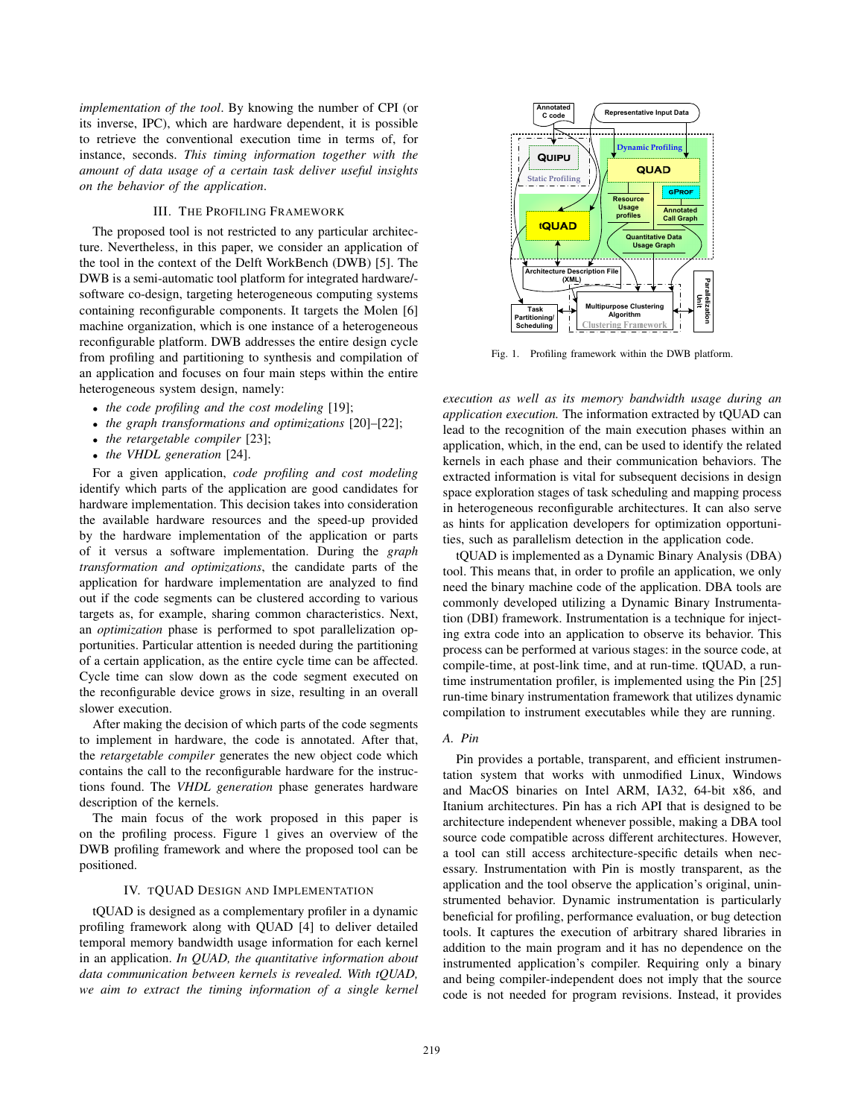*implementation of the tool*. By knowing the number of CPI (or its inverse, IPC), which are hardware dependent, it is possible to retrieve the conventional execution time in terms of, for instance, seconds. *This timing information together with the amount of data usage of a certain task deliver useful insights on the behavior of the application*.

## III. THE PROFILING FRAMEWORK

The proposed tool is not restricted to any particular architecture. Nevertheless, in this paper, we consider an application of the tool in the context of the Delft WorkBench (DWB) [5]. The DWB is a semi-automatic tool platform for integrated hardware/ software co-design, targeting heterogeneous computing systems containing reconfigurable components. It targets the Molen [6] machine organization, which is one instance of a heterogeneous reconfigurable platform. DWB addresses the entire design cycle from profiling and partitioning to synthesis and compilation of an application and focuses on four main steps within the entire heterogeneous system design, namely:

- *the code profiling and the cost modeling* [19];
- *the graph transformations and optimizations* [20]–[22];
- *the retargetable compiler* [23];
- *the VHDL generation* [24].

For a given application, *code profiling and cost modeling* identify which parts of the application are good candidates for hardware implementation. This decision takes into consideration the available hardware resources and the speed-up provided by the hardware implementation of the application or parts of it versus a software implementation. During the *graph transformation and optimizations*, the candidate parts of the application for hardware implementation are analyzed to find out if the code segments can be clustered according to various targets as, for example, sharing common characteristics. Next, an *optimization* phase is performed to spot parallelization opportunities. Particular attention is needed during the partitioning of a certain application, as the entire cycle time can be affected. Cycle time can slow down as the code segment executed on the reconfigurable device grows in size, resulting in an overall slower execution.

After making the decision of which parts of the code segments to implement in hardware, the code is annotated. After that, the *retargetable compiler* generates the new object code which contains the call to the reconfigurable hardware for the instructions found. The *VHDL generation* phase generates hardware description of the kernels.

The main focus of the work proposed in this paper is on the profiling process. Figure 1 gives an overview of the DWB profiling framework and where the proposed tool can be positioned.

#### IV. TQUAD DESIGN AND IMPLEMENTATION

tQUAD is designed as a complementary profiler in a dynamic profiling framework along with QUAD [4] to deliver detailed temporal memory bandwidth usage information for each kernel in an application. *In QUAD, the quantitative information about data communication between kernels is revealed. With tQUAD, we aim to extract the timing information of a single kernel*



Fig. 1. Profiling framework within the DWB platform.

*execution as well as its memory bandwidth usage during an application execution.* The information extracted by tQUAD can lead to the recognition of the main execution phases within an application, which, in the end, can be used to identify the related kernels in each phase and their communication behaviors. The extracted information is vital for subsequent decisions in design space exploration stages of task scheduling and mapping process in heterogeneous reconfigurable architectures. It can also serve as hints for application developers for optimization opportunities, such as parallelism detection in the application code.

tQUAD is implemented as a Dynamic Binary Analysis (DBA) tool. This means that, in order to profile an application, we only need the binary machine code of the application. DBA tools are commonly developed utilizing a Dynamic Binary Instrumentation (DBI) framework. Instrumentation is a technique for injecting extra code into an application to observe its behavior. This process can be performed at various stages: in the source code, at compile-time, at post-link time, and at run-time. tQUAD, a runtime instrumentation profiler, is implemented using the Pin [25] run-time binary instrumentation framework that utilizes dynamic compilation to instrument executables while they are running.

# *A. Pin*

Pin provides a portable, transparent, and efficient instrumentation system that works with unmodified Linux, Windows and MacOS binaries on Intel ARM, IA32, 64-bit x86, and Itanium architectures. Pin has a rich API that is designed to be architecture independent whenever possible, making a DBA tool source code compatible across different architectures. However, a tool can still access architecture-specific details when necessary. Instrumentation with Pin is mostly transparent, as the application and the tool observe the application's original, uninstrumented behavior. Dynamic instrumentation is particularly beneficial for profiling, performance evaluation, or bug detection tools. It captures the execution of arbitrary shared libraries in addition to the main program and it has no dependence on the instrumented application's compiler. Requiring only a binary and being compiler-independent does not imply that the source code is not needed for program revisions. Instead, it provides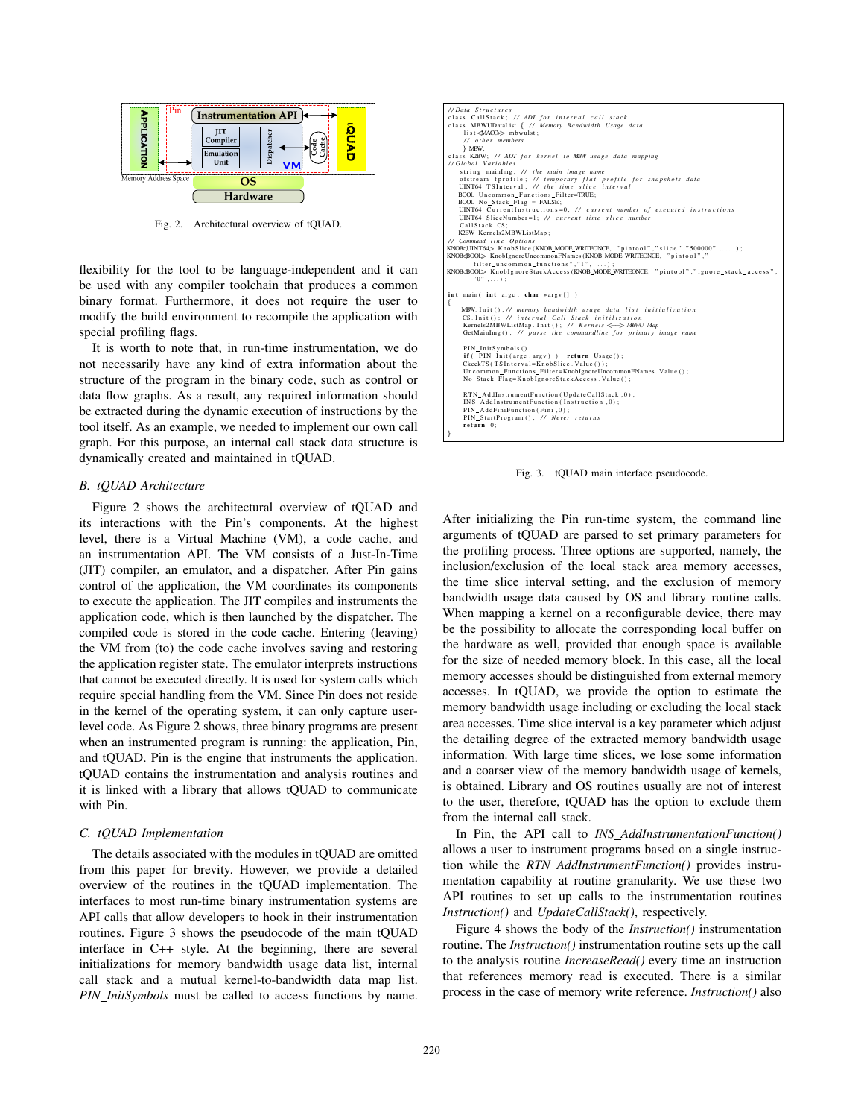

Fig. 2. Architectural overview of tQUAD.

flexibility for the tool to be language-independent and it can be used with any compiler toolchain that produces a common binary format. Furthermore, it does not require the user to modify the build environment to recompile the application with special profiling flags.

It is worth to note that, in run-time instrumentation, we do not necessarily have any kind of extra information about the structure of the program in the binary code, such as control or data flow graphs. As a result, any required information should be extracted during the dynamic execution of instructions by the tool itself. As an example, we needed to implement our own call graph. For this purpose, an internal call stack data structure is dynamically created and maintained in tQUAD.

### *B. tQUAD Architecture*

Figure 2 shows the architectural overview of tQUAD and its interactions with the Pin's components. At the highest level, there is a Virtual Machine (VM), a code cache, and an instrumentation API. The VM consists of a Just-In-Time (JIT) compiler, an emulator, and a dispatcher. After Pin gains control of the application, the VM coordinates its components to execute the application. The JIT compiles and instruments the application code, which is then launched by the dispatcher. The compiled code is stored in the code cache. Entering (leaving) the VM from (to) the code cache involves saving and restoring the application register state. The emulator interprets instructions that cannot be executed directly. It is used for system calls which require special handling from the VM. Since Pin does not reside in the kernel of the operating system, it can only capture userlevel code. As Figure 2 shows, three binary programs are present when an instrumented program is running: the application, Pin, and tQUAD. Pin is the engine that instruments the application. tQUAD contains the instrumentation and analysis routines and it is linked with a library that allows tQUAD to communicate with Pin.

## *C. tQUAD Implementation*

The details associated with the modules in tQUAD are omitted from this paper for brevity. However, we provide a detailed overview of the routines in the tQUAD implementation. The interfaces to most run-time binary instrumentation systems are API calls that allow developers to hook in their instrumentation routines. Figure 3 shows the pseudocode of the main tQUAD interface in C++ style. At the beginning, there are several initializations for memory bandwidth usage data list, internal call stack and a mutual kernel-to-bandwidth data map list. *PIN InitSymbols* must be called to access functions by name.



Fig. 3. tQUAD main interface pseudocode.

After initializing the Pin run-time system, the command line arguments of tQUAD are parsed to set primary parameters for the profiling process. Three options are supported, namely, the inclusion/exclusion of the local stack area memory accesses, the time slice interval setting, and the exclusion of memory bandwidth usage data caused by OS and library routine calls. When mapping a kernel on a reconfigurable device, there may be the possibility to allocate the corresponding local buffer on the hardware as well, provided that enough space is available for the size of needed memory block. In this case, all the local memory accesses should be distinguished from external memory accesses. In tQUAD, we provide the option to estimate the memory bandwidth usage including or excluding the local stack area accesses. Time slice interval is a key parameter which adjust the detailing degree of the extracted memory bandwidth usage information. With large time slices, we lose some information and a coarser view of the memory bandwidth usage of kernels, is obtained. Library and OS routines usually are not of interest to the user, therefore, tQUAD has the option to exclude them from the internal call stack.

In Pin, the API call to *INS AddInstrumentationFunction()* allows a user to instrument programs based on a single instruction while the *RTN AddInstrumentFunction()* provides instrumentation capability at routine granularity. We use these two API routines to set up calls to the instrumentation routines *Instruction()* and *UpdateCallStack()*, respectively.

Figure 4 shows the body of the *Instruction()* instrumentation routine. The *Instruction()* instrumentation routine sets up the call to the analysis routine *IncreaseRead()* every time an instruction that references memory read is executed. There is a similar process in the case of memory write reference. *Instruction()* also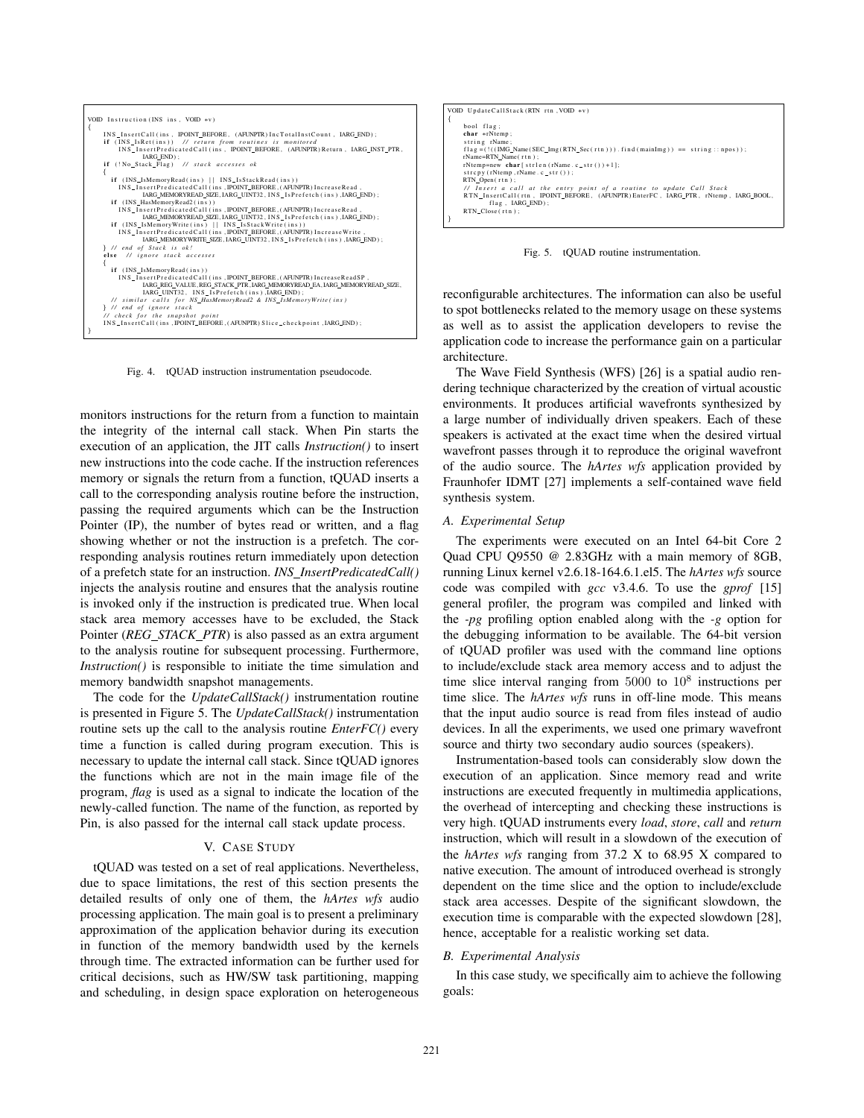

Fig. 4. tQUAD instruction instrumentation pseudocode.

monitors instructions for the return from a function to maintain the integrity of the internal call stack. When Pin starts the execution of an application, the JIT calls *Instruction()* to insert new instructions into the code cache. If the instruction references memory or signals the return from a function, tQUAD inserts a call to the corresponding analysis routine before the instruction, passing the required arguments which can be the Instruction Pointer (IP), the number of bytes read or written, and a flag showing whether or not the instruction is a prefetch. The corresponding analysis routines return immediately upon detection of a prefetch state for an instruction. *INS InsertPredicatedCall()* injects the analysis routine and ensures that the analysis routine is invoked only if the instruction is predicated true. When local stack area memory accesses have to be excluded, the Stack Pointer (*REG\_STACK\_PTR*) is also passed as an extra argument to the analysis routine for subsequent processing. Furthermore, *Instruction()* is responsible to initiate the time simulation and memory bandwidth snapshot managements.

The code for the *UpdateCallStack()* instrumentation routine is presented in Figure 5. The *UpdateCallStack()* instrumentation routine sets up the call to the analysis routine *EnterFC()* every time a function is called during program execution. This is necessary to update the internal call stack. Since tQUAD ignores the functions which are not in the main image file of the program, *flag* is used as a signal to indicate the location of the newly-called function. The name of the function, as reported by Pin, is also passed for the internal call stack update process.

## V. CASE STUDY

tQUAD was tested on a set of real applications. Nevertheless, due to space limitations, the rest of this section presents the detailed results of only one of them, the *hArtes wfs* audio processing application. The main goal is to present a preliminary approximation of the application behavior during its execution in function of the memory bandwidth used by the kernels through time. The extracted information can be further used for critical decisions, such as HW/SW task partitioning, mapping and scheduling, in design space exploration on heterogeneous



Fig. 5. tQUAD routine instrumentation.

reconfigurable architectures. The information can also be useful to spot bottlenecks related to the memory usage on these systems as well as to assist the application developers to revise the application code to increase the performance gain on a particular architecture.

The Wave Field Synthesis (WFS) [26] is a spatial audio rendering technique characterized by the creation of virtual acoustic environments. It produces artificial wavefronts synthesized by a large number of individually driven speakers. Each of these speakers is activated at the exact time when the desired virtual wavefront passes through it to reproduce the original wavefront of the audio source. The *hArtes wfs* application provided by Fraunhofer IDMT [27] implements a self-contained wave field synthesis system.

#### *A. Experimental Setup*

The experiments were executed on an Intel 64-bit Core 2 Quad CPU Q9550 @ 2.83GHz with a main memory of 8GB, running Linux kernel v2.6.18-164.6.1.el5. The *hArtes wfs* source code was compiled with *gcc* v3.4.6. To use the *gprof* [15] general profiler, the program was compiled and linked with the *-pg* profiling option enabled along with the *-g* option for the debugging information to be available. The 64-bit version of tQUAD profiler was used with the command line options to include/exclude stack area memory access and to adjust the time slice interval ranging from  $5000$  to  $10^8$  instructions per time slice. The *hArtes wfs* runs in off-line mode. This means that the input audio source is read from files instead of audio devices. In all the experiments, we used one primary wavefront source and thirty two secondary audio sources (speakers).

Instrumentation-based tools can considerably slow down the execution of an application. Since memory read and write instructions are executed frequently in multimedia applications, the overhead of intercepting and checking these instructions is very high. tQUAD instruments every *load*, *store*, *call* and *return* instruction, which will result in a slowdown of the execution of the *hArtes wfs* ranging from 37.2 X to 68.95 X compared to native execution. The amount of introduced overhead is strongly dependent on the time slice and the option to include/exclude stack area accesses. Despite of the significant slowdown, the execution time is comparable with the expected slowdown [28], hence, acceptable for a realistic working set data.

#### *B. Experimental Analysis*

In this case study, we specifically aim to achieve the following goals: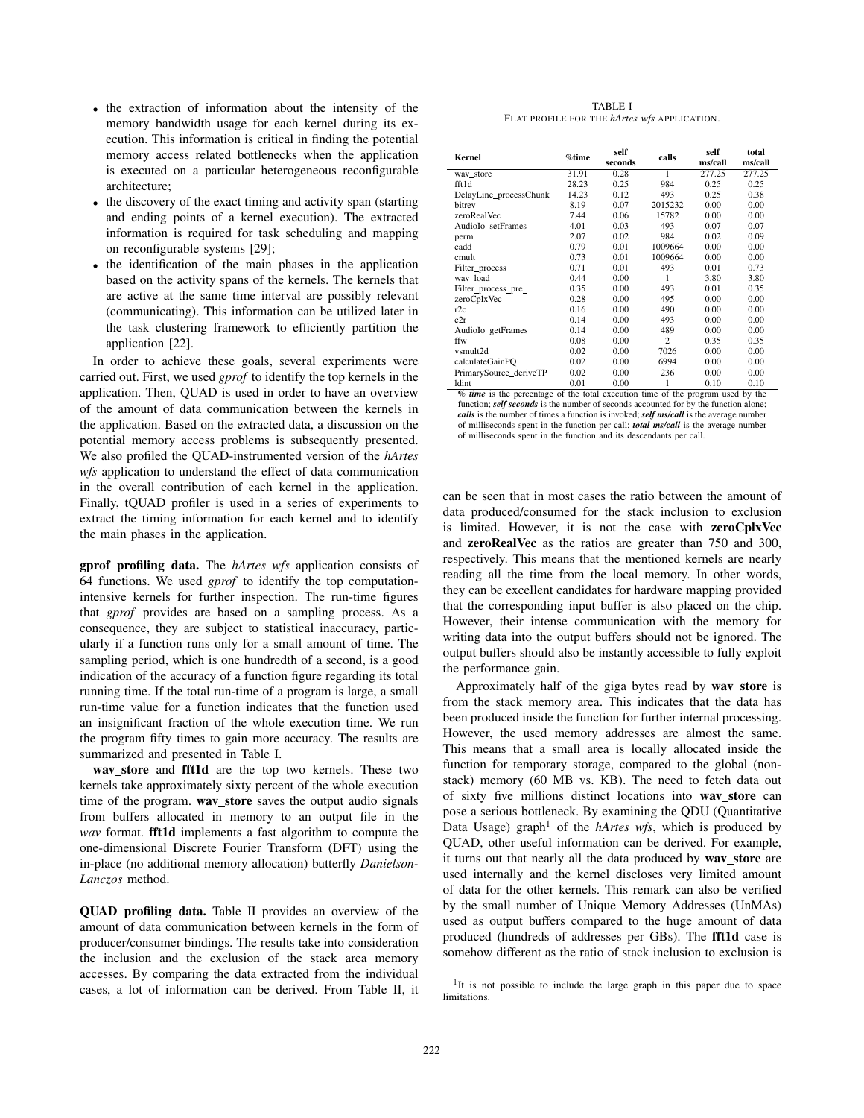- the extraction of information about the intensity of the memory bandwidth usage for each kernel during its execution. This information is critical in finding the potential memory access related bottlenecks when the application is executed on a particular heterogeneous reconfigurable architecture;
- the discovery of the exact timing and activity span (starting and ending points of a kernel execution). The extracted information is required for task scheduling and mapping on reconfigurable systems [29];
- the identification of the main phases in the application based on the activity spans of the kernels. The kernels that are active at the same time interval are possibly relevant (communicating). This information can be utilized later in the task clustering framework to efficiently partition the application [22].

In order to achieve these goals, several experiments were carried out. First, we used *gprof* to identify the top kernels in the application. Then, QUAD is used in order to have an overview of the amount of data communication between the kernels in the application. Based on the extracted data, a discussion on the potential memory access problems is subsequently presented. We also profiled the QUAD-instrumented version of the *hArtes wfs* application to understand the effect of data communication in the overall contribution of each kernel in the application. Finally, tQUAD profiler is used in a series of experiments to extract the timing information for each kernel and to identify the main phases in the application.

gprof profiling data. The *hArtes wfs* application consists of 64 functions. We used *gprof* to identify the top computationintensive kernels for further inspection. The run-time figures that *gprof* provides are based on a sampling process. As a consequence, they are subject to statistical inaccuracy, particularly if a function runs only for a small amount of time. The sampling period, which is one hundredth of a second, is a good indication of the accuracy of a function figure regarding its total running time. If the total run-time of a program is large, a small run-time value for a function indicates that the function used an insignificant fraction of the whole execution time. We run the program fifty times to gain more accuracy. The results are summarized and presented in Table I.

wav\_store and fft1d are the top two kernels. These two kernels take approximately sixty percent of the whole execution time of the program. wav\_store saves the output audio signals from buffers allocated in memory to an output file in the *wav* format. fft1d implements a fast algorithm to compute the one-dimensional Discrete Fourier Transform (DFT) using the in-place (no additional memory allocation) butterfly *Danielson-Lanczos* method.

QUAD profiling data. Table II provides an overview of the amount of data communication between kernels in the form of producer/consumer bindings. The results take into consideration the inclusion and the exclusion of the stack area memory accesses. By comparing the data extracted from the individual cases, a lot of information can be derived. From Table II, it

TABLE I FLAT PROFILE FOR THE *hArtes wfs* APPLICATION.

| Kernel                                                                          | %time | self<br>seconds | calls          | self<br>ms/call | total<br>ms/call |  |  |  |
|---------------------------------------------------------------------------------|-------|-----------------|----------------|-----------------|------------------|--|--|--|
| way store                                                                       | 31.91 | 0.28            | 1              | 277.25          | 277.25           |  |  |  |
| fft1d                                                                           | 28.23 | 0.25            | 984            | 0.25            | 0.25             |  |  |  |
| DelayLine_processChunk                                                          | 14.23 | 0.12            | 493            | 0.25            | 0.38             |  |  |  |
| bitrev                                                                          | 8.19  | 0.07            | 2015232        | 0.00            | 0.00             |  |  |  |
| zeroRealVec                                                                     | 7.44  | 0.06            | 15782          | 0.00            | 0.00             |  |  |  |
| AudioIo_setFrames                                                               | 4.01  | 0.03            | 493            | 0.07            | 0.07             |  |  |  |
| perm                                                                            | 2.07  | 0.02            | 984            | 0.02            | 0.09             |  |  |  |
| cadd                                                                            | 0.79  | 0.01            | 1009664        | 0.00            | 0.00             |  |  |  |
| cmult                                                                           | 0.73  | 0.01            | 1009664        | 0.00            | 0.00             |  |  |  |
| Filter_process                                                                  | 0.71  | 0.01            | 493            | 0.01            | 0.73             |  |  |  |
| way_load                                                                        | 0.44  | 0.00            | 1              | 3.80            | 3.80             |  |  |  |
| Filter_process_pre_                                                             | 0.35  | 0.00            | 493            | 0.01            | 0.35             |  |  |  |
| zeroCplxVec                                                                     | 0.28  | 0.00            | 495            | 0.00            | 0.00             |  |  |  |
| r <sub>2c</sub>                                                                 | 0.16  | 0.00            | 490            | 0.00            | 0.00             |  |  |  |
| c2r                                                                             | 0.14  | 0.00            | 493            | 0.00            | 0.00             |  |  |  |
| AudioIo_getFrames                                                               | 0.14  | 0.00            | 489            | 0.00            | 0.00             |  |  |  |
| ffw                                                                             | 0.08  | 0.00            | $\overline{c}$ | 0.35            | 0.35             |  |  |  |
| vsmult2d                                                                        | 0.02  | 0.00            | 7026           | 0.00            | 0.00             |  |  |  |
| calculateGainPO                                                                 | 0.02  | 0.00            | 6994           | 0.00            | 0.00             |  |  |  |
| PrimarySource_deriveTP                                                          | 0.02  | 0.00            | 236            | 0.00            | 0.00             |  |  |  |
| ldint                                                                           | 0.01  | 0.00            | 1              | 0.10            | 0.10             |  |  |  |
| % time is the percentage of the total execution time of the program used by the |       |                 |                |                 |                  |  |  |  |

function; *self seconds* is the number of seconds accounted for by the function alone; *calls* is the number of times a function is invoked; *self ms/call* is the average number of milliseconds spent in the function per call; *total ms/call* is the average number of milliseconds spent in the function and its descendants per call.

can be seen that in most cases the ratio between the amount of data produced/consumed for the stack inclusion to exclusion is limited. However, it is not the case with **zeroCplxVec** and **zeroRealVec** as the ratios are greater than 750 and 300, respectively. This means that the mentioned kernels are nearly reading all the time from the local memory. In other words, they can be excellent candidates for hardware mapping provided that the corresponding input buffer is also placed on the chip. However, their intense communication with the memory for writing data into the output buffers should not be ignored. The output buffers should also be instantly accessible to fully exploit the performance gain.

Approximately half of the giga bytes read by wav store is from the stack memory area. This indicates that the data has been produced inside the function for further internal processing. However, the used memory addresses are almost the same. This means that a small area is locally allocated inside the function for temporary storage, compared to the global (nonstack) memory (60 MB vs. KB). The need to fetch data out of sixty five millions distinct locations into wav store can pose a serious bottleneck. By examining the QDU (Quantitative Data Usage) graph<sup>1</sup> of the *hArtes wfs*, which is produced by QUAD, other useful information can be derived. For example, it turns out that nearly all the data produced by wav\_store are used internally and the kernel discloses very limited amount of data for the other kernels. This remark can also be verified by the small number of Unique Memory Addresses (UnMAs) used as output buffers compared to the huge amount of data produced (hundreds of addresses per GBs). The fft1d case is somehow different as the ratio of stack inclusion to exclusion is

<sup>&</sup>lt;sup>1</sup>It is not possible to include the large graph in this paper due to space **limitations**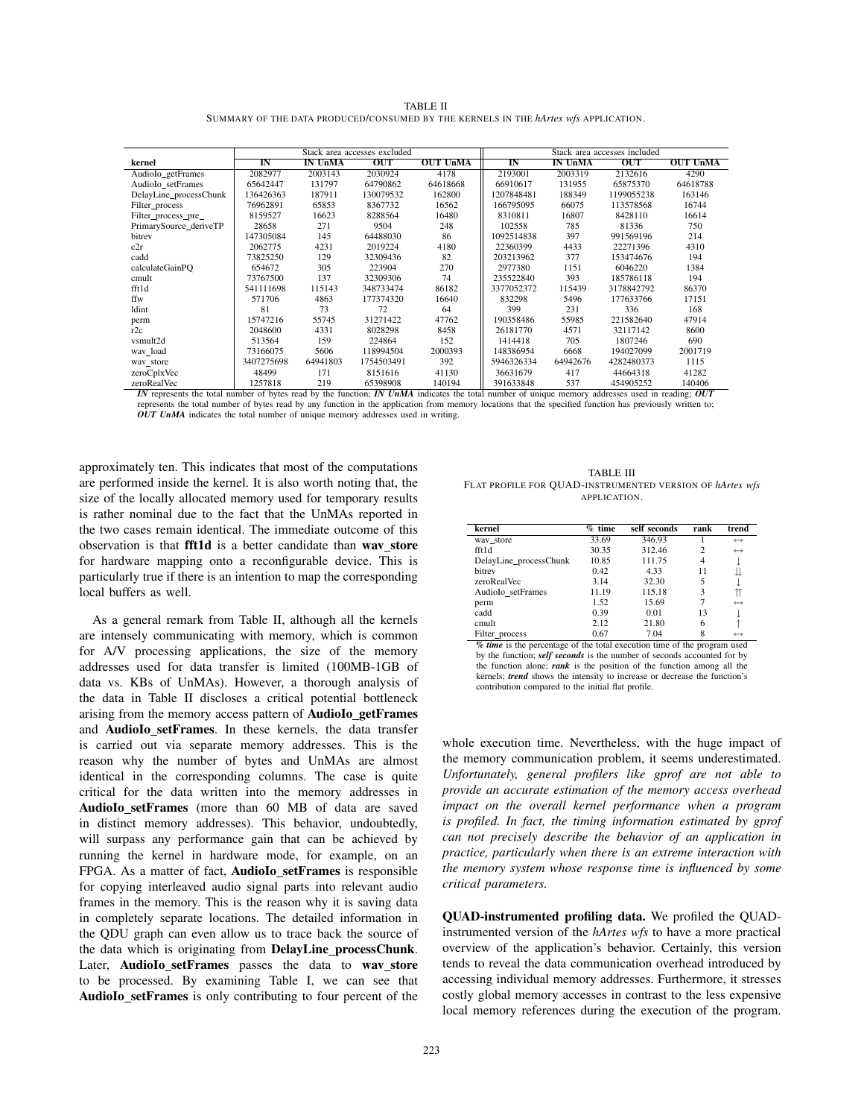TABLE II SUMMARY OF THE DATA PRODUCED/CONSUMED BY THE KERNELS IN THE *hArtes wfs* APPLICATION.

|                                                                                                                                                  | Stack area accesses excluded |                |                         |                 | Stack area accesses included |                |            |                 |  |  |
|--------------------------------------------------------------------------------------------------------------------------------------------------|------------------------------|----------------|-------------------------|-----------------|------------------------------|----------------|------------|-----------------|--|--|
| kernel                                                                                                                                           | $_{\rm IN}$                  | <b>IN UnMA</b> | $\overline{\text{OUT}}$ | <b>OUT UnMA</b> | IN                           | <b>IN UnMA</b> | <b>OUT</b> | <b>OUT UnMA</b> |  |  |
| AudioIo_getFrames                                                                                                                                | 2082977                      | 2003143        | 2030924                 | 4178            | 2193001                      | 2003319        | 2132616    | 4290            |  |  |
| AudioIo setFrames                                                                                                                                | 65642447                     | 131797         | 64790862                | 64618668        | 66910617                     | 131955         | 65875370   | 64618788        |  |  |
| DelayLine_processChunk                                                                                                                           | 136426363                    | 187911         | 130079532               | 162800          | 1207848481                   | 188349         | 1199055238 | 163146          |  |  |
| Filter_process                                                                                                                                   | 76962891                     | 65853          | 8367732                 | 16562           | 166795095                    | 66075          | 113578568  | 16744           |  |  |
| Filter_process_pre_                                                                                                                              | 8159527                      | 16623          | 8288564                 | 16480           | 8310811                      | 16807          | 8428110    | 16614           |  |  |
| PrimarySource deriveTP                                                                                                                           | 28658                        | 271            | 9504                    | 248             | 102558                       | 785            | 81336      | 750             |  |  |
| bitrey                                                                                                                                           | 147305084                    | 145            | 64488030                | 86              | 1092514838                   | 397            | 991569196  | 214             |  |  |
| c2r                                                                                                                                              | 2062775                      | 4231           | 2019224                 | 4180            | 22360399                     | 4433           | 22271396   | 4310            |  |  |
| cadd                                                                                                                                             | 73825250                     | 129            | 32309436                | 82              | 203213962                    | 377            | 153474676  | 194             |  |  |
| calculateGainPO                                                                                                                                  | 654672                       | 305            | 223904                  | 270             | 2977380                      | 1151           | 6046220    | 1384            |  |  |
| cmult                                                                                                                                            | 73767500                     | 137            | 32309306                | 74              | 235522840                    | 393            | 185786118  | 194             |  |  |
| fft1d                                                                                                                                            | 541111698                    | 115143         | 348733474               | 86182           | 3377052372                   | 115439         | 3178842792 | 86370           |  |  |
| ffw                                                                                                                                              | 571706                       | 4863           | 177374320               | 16640           | 832298                       | 5496           | 177633766  | 17151           |  |  |
| ldint                                                                                                                                            | 81                           | 73             | 72                      | 64              | 399                          | 231            | 336        | 168             |  |  |
| perm                                                                                                                                             | 15747216                     | 55745          | 31271422                | 47762           | 190358486                    | 55985          | 221582640  | 47914           |  |  |
| r2c                                                                                                                                              | 2048600                      | 4331           | 8028298                 | 8458            | 26181770                     | 4571           | 32117142   | 8600            |  |  |
| vsmult2d                                                                                                                                         | 513564                       | 159            | 224864                  | 152             | 1414418                      | 705            | 1807246    | 690             |  |  |
| way load                                                                                                                                         | 73166075                     | 5606           | 118994504               | 2000393         | 148386954                    | 6668           | 194027099  | 2001719         |  |  |
| way store                                                                                                                                        | 3407275698                   | 64941803       | 1754503491              | 392             | 5946326334                   | 64942676       | 4282480373 | 1115            |  |  |
| zeroCplxVec                                                                                                                                      | 48499                        | 171            | 8151616                 | 41130           | 36631679                     | 417            | 44664318   | 41282           |  |  |
| zeroRealVec                                                                                                                                      | 1257818                      | 219            | 65398908                | 140194          | 391633848                    | 537            | 454905252  | 140406          |  |  |
| IN represents the total number of bytes read by the function: IN UnMA indicates the total number of unique memory addresses used in reading: OUT |                              |                |                         |                 |                              |                |            |                 |  |  |

IN represents the total number of bytes read by the function; IN UnMA indicates the total number of unique memory addresses used in reading; OUT represents the total number of bytes read by any function in the application *OUT UnMA* indicates the total number of unique memory addresses used in writing.

approximately ten. This indicates that most of the computations are performed inside the kernel. It is also worth noting that, the size of the locally allocated memory used for temporary results is rather nominal due to the fact that the UnMAs reported in the two cases remain identical. The immediate outcome of this observation is that fft1d is a better candidate than wav store for hardware mapping onto a reconfigurable device. This is particularly true if there is an intention to map the corresponding local buffers as well.

As a general remark from Table II, although all the kernels are intensely communicating with memory, which is common for A/V processing applications, the size of the memory addresses used for data transfer is limited (100MB-1GB of data vs. KBs of UnMAs). However, a thorough analysis of the data in Table II discloses a critical potential bottleneck arising from the memory access pattern of AudioIo getFrames and AudioIo setFrames. In these kernels, the data transfer is carried out via separate memory addresses. This is the reason why the number of bytes and UnMAs are almost identical in the corresponding columns. The case is quite critical for the data written into the memory addresses in AudioIo setFrames (more than 60 MB of data are saved in distinct memory addresses). This behavior, undoubtedly, will surpass any performance gain that can be achieved by running the kernel in hardware mode, for example, on an FPGA. As a matter of fact, **AudioIo\_setFrames** is responsible for copying interleaved audio signal parts into relevant audio frames in the memory. This is the reason why it is saving data in completely separate locations. The detailed information in the QDU graph can even allow us to trace back the source of the data which is originating from DelayLine processChunk. Later, AudioIo setFrames passes the data to wav store to be processed. By examining Table I, we can see that AudioIo\_setFrames is only contributing to four percent of the

TABLE III FLAT PROFILE FOR QUAD-INSTRUMENTED VERSION OF *hArtes wfs* APPLICATION.

| kernel                 | $%$ time | self seconds | rank     | trend             |
|------------------------|----------|--------------|----------|-------------------|
| way store              | 33.69    | 346.93       |          | $\leftrightarrow$ |
| ft1d                   | 30.35    | 312.46       | 2        | $\leftrightarrow$ |
| DelayLine_processChunk | 10.85    | 111.75       | 4        |                   |
| bitrey                 | 0.42     | 4.33         | 11       |                   |
| zeroRealVec            | 3.14     | 32.30        |          |                   |
| AudioIo setFrames      | 11.19    | 115.18       | 3        |                   |
| perm                   | 1.52     | 15.69        |          | $\leftrightarrow$ |
| cadd                   | 0.39     | 0.01         | 13       |                   |
| cmult                  | 2.12     | 21.80        | 6        |                   |
| Elless species         | 0.67     | 701          | $\Omega$ |                   |

Filter\_process 0.67 7.04 8  $\leftrightarrow$ <br> *% time* is the percentage of the total execution time of the program used by the function; *self seconds* is the number of seconds accounted for by the function alone; *rank* is the position of the function among all the kernels; *trend* shows the intensity to increase or decrease the function's contribution compared to the initial flat profile.

whole execution time. Nevertheless, with the huge impact of the memory communication problem, it seems underestimated. *Unfortunately, general profilers like gprof are not able to provide an accurate estimation of the memory access overhead impact on the overall kernel performance when a program is profiled. In fact, the timing information estimated by gprof can not precisely describe the behavior of an application in practice, particularly when there is an extreme interaction with the memory system whose response time is influenced by some critical parameters.*

QUAD-instrumented profiling data. We profiled the QUADinstrumented version of the *hArtes wfs* to have a more practical overview of the application's behavior. Certainly, this version tends to reveal the data communication overhead introduced by accessing individual memory addresses. Furthermore, it stresses costly global memory accesses in contrast to the less expensive local memory references during the execution of the program.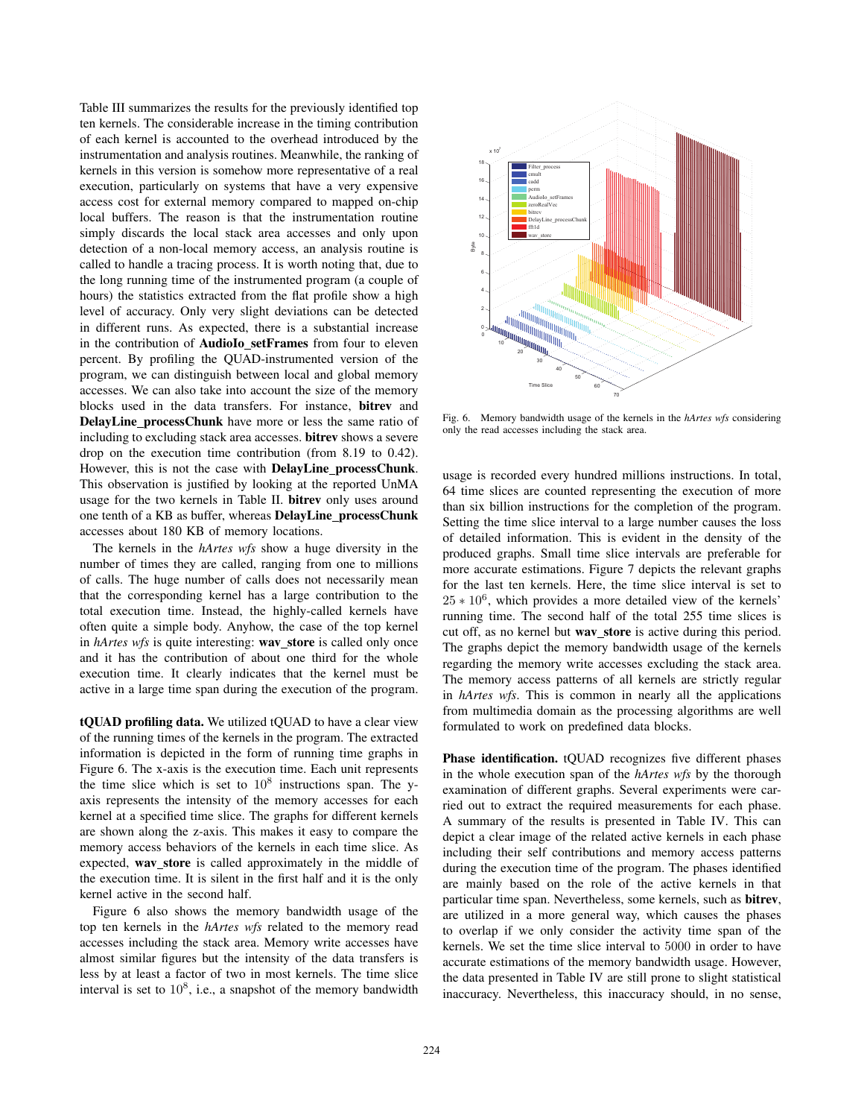Table III summarizes the results for the previously identified top ten kernels. The considerable increase in the timing contribution of each kernel is accounted to the overhead introduced by the instrumentation and analysis routines. Meanwhile, the ranking of kernels in this version is somehow more representative of a real execution, particularly on systems that have a very expensive access cost for external memory compared to mapped on-chip local buffers. The reason is that the instrumentation routine simply discards the local stack area accesses and only upon detection of a non-local memory access, an analysis routine is called to handle a tracing process. It is worth noting that, due to the long running time of the instrumented program (a couple of hours) the statistics extracted from the flat profile show a high level of accuracy. Only very slight deviations can be detected in different runs. As expected, there is a substantial increase in the contribution of AudioIo setFrames from four to eleven percent. By profiling the QUAD-instrumented version of the program, we can distinguish between local and global memory accesses. We can also take into account the size of the memory blocks used in the data transfers. For instance, bitrev and DelayLine processChunk have more or less the same ratio of including to excluding stack area accesses. bitrev shows a severe drop on the execution time contribution (from 8.19 to 0.42). However, this is not the case with DelayLine processChunk. This observation is justified by looking at the reported UnMA usage for the two kernels in Table II. bitrev only uses around one tenth of a KB as buffer, whereas DelayLine processChunk accesses about 180 KB of memory locations.

The kernels in the *hArtes wfs* show a huge diversity in the number of times they are called, ranging from one to millions of calls. The huge number of calls does not necessarily mean that the corresponding kernel has a large contribution to the total execution time. Instead, the highly-called kernels have often quite a simple body. Anyhow, the case of the top kernel in *hArtes wfs* is quite interesting: **wav\_store** is called only once and it has the contribution of about one third for the whole execution time. It clearly indicates that the kernel must be active in a large time span during the execution of the program.

tQUAD profiling data. We utilized tQUAD to have a clear view of the running times of the kernels in the program. The extracted information is depicted in the form of running time graphs in Figure 6. The x-axis is the execution time. Each unit represents the time slice which is set to  $10^8$  instructions span. The yaxis represents the intensity of the memory accesses for each kernel at a specified time slice. The graphs for different kernels are shown along the z-axis. This makes it easy to compare the memory access behaviors of the kernels in each time slice. As expected, wav\_store is called approximately in the middle of the execution time. It is silent in the first half and it is the only kernel active in the second half.

Figure 6 also shows the memory bandwidth usage of the top ten kernels in the *hArtes wfs* related to the memory read accesses including the stack area. Memory write accesses have almost similar figures but the intensity of the data transfers is less by at least a factor of two in most kernels. The time slice interval is set to  $10^8$ , i.e., a snapshot of the memory bandwidth



Fig. 6. Memory bandwidth usage of the kernels in the *hArtes wfs* considering only the read accesses including the stack area.

usage is recorded every hundred millions instructions. In total, 64 time slices are counted representing the execution of more than six billion instructions for the completion of the program. Setting the time slice interval to a large number causes the loss of detailed information. This is evident in the density of the produced graphs. Small time slice intervals are preferable for more accurate estimations. Figure 7 depicts the relevant graphs for the last ten kernels. Here, the time slice interval is set to  $25 * 10<sup>6</sup>$ , which provides a more detailed view of the kernels' running time. The second half of the total 255 time slices is cut off, as no kernel but wav store is active during this period. The graphs depict the memory bandwidth usage of the kernels regarding the memory write accesses excluding the stack area. The memory access patterns of all kernels are strictly regular in *hArtes wfs*. This is common in nearly all the applications from multimedia domain as the processing algorithms are well formulated to work on predefined data blocks.

Phase identification. tQUAD recognizes five different phases in the whole execution span of the *hArtes wfs* by the thorough examination of different graphs. Several experiments were carried out to extract the required measurements for each phase. A summary of the results is presented in Table IV. This can depict a clear image of the related active kernels in each phase including their self contributions and memory access patterns during the execution time of the program. The phases identified are mainly based on the role of the active kernels in that particular time span. Nevertheless, some kernels, such as bitrev, are utilized in a more general way, which causes the phases to overlap if we only consider the activity time span of the kernels. We set the time slice interval to 5000 in order to have accurate estimations of the memory bandwidth usage. However, the data presented in Table IV are still prone to slight statistical inaccuracy. Nevertheless, this inaccuracy should, in no sense,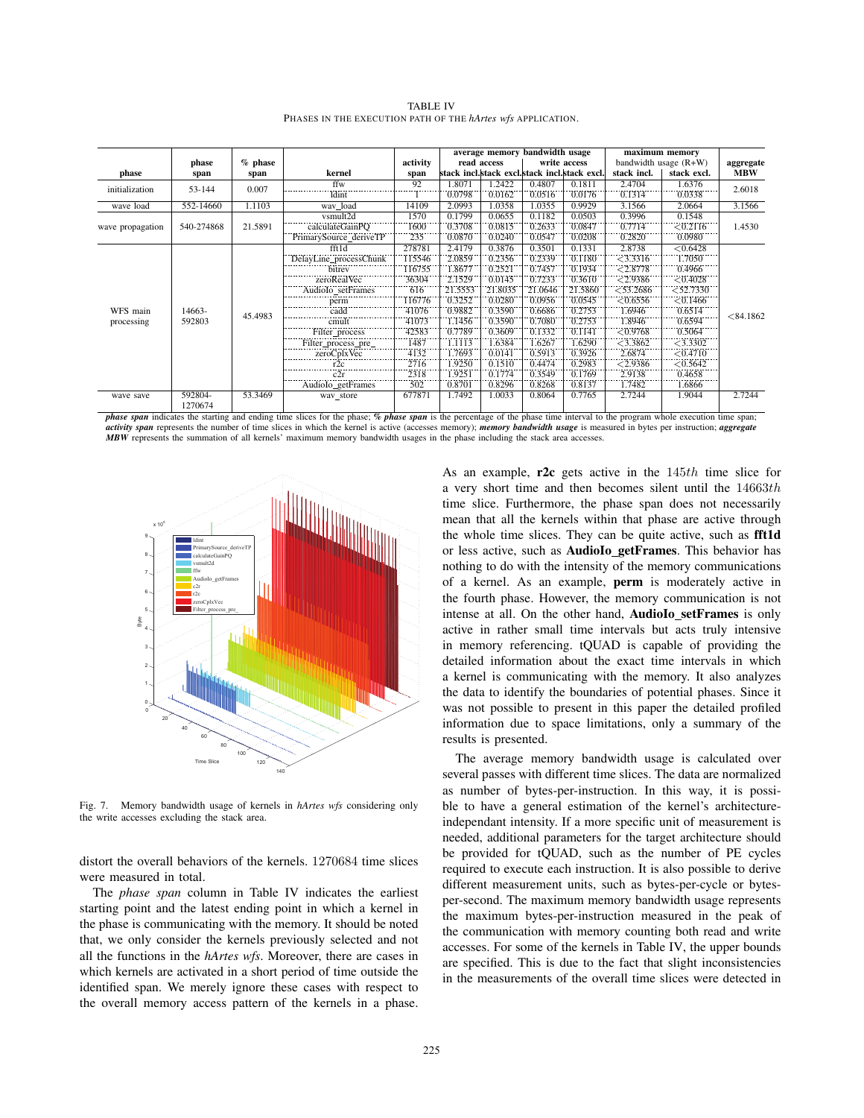TABLE IV PHASES IN THE EXECUTION PATH OF THE *hArtes wfs* APPLICATION.

|                          | phase              | $%$ phase              |                        | activity | average memory bandwidth usage<br>read access |         | write access                                 |          | maximum memory<br>bandwidth usage $(R+W)$ |          | aggregate  |
|--------------------------|--------------------|------------------------|------------------------|----------|-----------------------------------------------|---------|----------------------------------------------|----------|-------------------------------------------|----------|------------|
| phase<br>span<br>span    |                    |                        | kernel                 | span     |                                               |         | stack incl.stack excl.stack incl.stack excl. |          | stack incl.<br>stack excl.                |          | <b>MBW</b> |
| 53-144<br>initialization |                    | 0.007                  | ffw                    | 92       | 1.8071                                        | 1.2422  | 0.4807                                       | 0.1811   | 2.4704                                    | 1.6376   | 2.6018     |
|                          |                    |                        | ldint                  |          | 0.0798                                        | 0.0162  | 0.0516                                       | 0.0176   | 0.1314                                    | 0.0338   |            |
| wave load                | 552-14660          | 1.1103                 | way load               | 14109    | 2.0993                                        | 1.0358  | 1.0355                                       | 0.9929   | 3.1566                                    | 2.0664   | 3.1566     |
|                          |                    |                        | vsmult2d               | 1570     | 0.1799                                        | 0.0655  | 0.1182                                       | 0.0503   | 0.3996                                    | 0.1548   | 1.4530     |
| wave propagation         | 540-274868         | 21.5891                | calculateGainPQ        | 1600     | 0.3708                                        | 0.0815  | 0.2633                                       | 0.0847   | 0.7714                                    | < 0.2116 |            |
|                          |                    | PrimarySource_deriveTP | 235                    | 0.0870   | 0.0240                                        | 0.0547  | 0.0208                                       | 0.2820   | 0.0980                                    |          |            |
|                          |                    | fft1d                  | 278781                 | 2.4179   | 0.3876                                        | 0.3501  | 0.1331                                       | 2.8738   | < 0.6428                                  |          |            |
|                          |                    | 45.4983                | DelayLine_processChunk | 115546   | 2.0859                                        | 0.2356  | 0.2339                                       | 0.1180   | 3.3316                                    | 1.7050   | < 84.1862  |
|                          |                    |                        |                        | 116755   | 1.8677                                        | 0.2521  | 0.7457                                       | 0.1934   | < 2.8778                                  | 0.4966   |            |
|                          |                    |                        | zeroRealVec            | 36304    | 2.1529                                        | 0.0145  | 0.7233                                       | 0.3610   | 2.9386                                    | < 0.4028 |            |
|                          |                    |                        | AudioIo_setFrames      | 616      | 21.5553                                       | 21.8035 | 21.0646                                      | 21.5860  | < 53.2686                                 | 52.7330  |            |
|                          |                    |                        | perm                   | 116776   | 0.3252                                        | 0.0280  | 0.0956                                       | 0.0545   | < 0.6556                                  | < 0.1466 |            |
| WFS main                 | 14663-             |                        | cadd                   | 41076    | 0.9882                                        | 0.3590  | 0.6686                                       | 0.2753   | 1.6946                                    | 0.6514   |            |
| 592803<br>processing     |                    | cmult                  | 41073                  | 1.1456   | 0.3590                                        | 0.7080  | 0.2753                                       | 1.8946   | 0.6594                                    |          |            |
|                          |                    | Filter_process         | 42583                  | 0.7789   | 0.3609                                        | 0.1332  | 0.1141                                       | < 0.9768 | 0.5064                                    |          |            |
|                          |                    | Filter_process_pre_    | 1487                   | 1.1113   | 1.6384                                        | 1.6267  | 1.6290                                       | 3.3862   | 3.3302                                    |          |            |
|                          |                    | zeroCplxVec            | 4132                   | 1.7693   | 0.0141                                        | 0.5913  | 0.3926                                       | 2.6874   | < 0.4710                                  |          |            |
|                          |                    |                        | r2c                    | 2716     | 1.9250                                        | 0.1510  | 0.4474                                       | 0.2983   | 2.9386                                    | 5642     |            |
|                          |                    |                        | c2r                    | 2318     | 1.9251                                        | 0.1774  | 0.3549                                       | 0.1769   | 2.9138                                    | 0.4658   |            |
|                          |                    | Audiolo_getFrames      | 502                    | 0.8701   | 0.8296                                        | 0.8268  | 0.8137                                       | 1.7482   | 1.6866                                    |          |            |
| wave save                | 592804-<br>1270674 | 53.3469                | wav_store              | 677871   | 1.7492                                        | 1.0033  | 0.8064                                       | 0.7765   | 2.7244                                    | 1.9044   | 2.7244     |

*phase span* indicates the starting and ending time slices for the phase; *% phase span* is the percentage of the phase time interval to the program whole execution time span; *activity span* represents the number of time slices in which the kernel is active (accesses memory); *memory bandwidth usage* is measured in bytes per instruction; *aggregate MBW* represents the summation of all kernels' maximum memory bandwidth usages in the phase including the stack area accesses.



Fig. 7. Memory bandwidth usage of kernels in *hArtes wfs* considering only the write accesses excluding the stack area.

distort the overall behaviors of the kernels. 1270684 time slices were measured in total.

The *phase span* column in Table IV indicates the earliest starting point and the latest ending point in which a kernel in the phase is communicating with the memory. It should be noted that, we only consider the kernels previously selected and not all the functions in the *hArtes wfs*. Moreover, there are cases in which kernels are activated in a short period of time outside the identified span. We merely ignore these cases with respect to the overall memory access pattern of the kernels in a phase.

As an example,  $r2c$  gets active in the  $145th$  time slice for a very short time and then becomes silent until the 14663th time slice. Furthermore, the phase span does not necessarily mean that all the kernels within that phase are active through the whole time slices. They can be quite active, such as fft1d or less active, such as AudioIo getFrames. This behavior has nothing to do with the intensity of the memory communications of a kernel. As an example, perm is moderately active in the fourth phase. However, the memory communication is not intense at all. On the other hand, AudioIo\_setFrames is only active in rather small time intervals but acts truly intensive in memory referencing. tQUAD is capable of providing the detailed information about the exact time intervals in which a kernel is communicating with the memory. It also analyzes the data to identify the boundaries of potential phases. Since it was not possible to present in this paper the detailed profiled information due to space limitations, only a summary of the results is presented.

The average memory bandwidth usage is calculated over several passes with different time slices. The data are normalized as number of bytes-per-instruction. In this way, it is possible to have a general estimation of the kernel's architectureindependant intensity. If a more specific unit of measurement is needed, additional parameters for the target architecture should be provided for tQUAD, such as the number of PE cycles required to execute each instruction. It is also possible to derive different measurement units, such as bytes-per-cycle or bytesper-second. The maximum memory bandwidth usage represents the maximum bytes-per-instruction measured in the peak of the communication with memory counting both read and write accesses. For some of the kernels in Table IV, the upper bounds are specified. This is due to the fact that slight inconsistencies in the measurements of the overall time slices were detected in